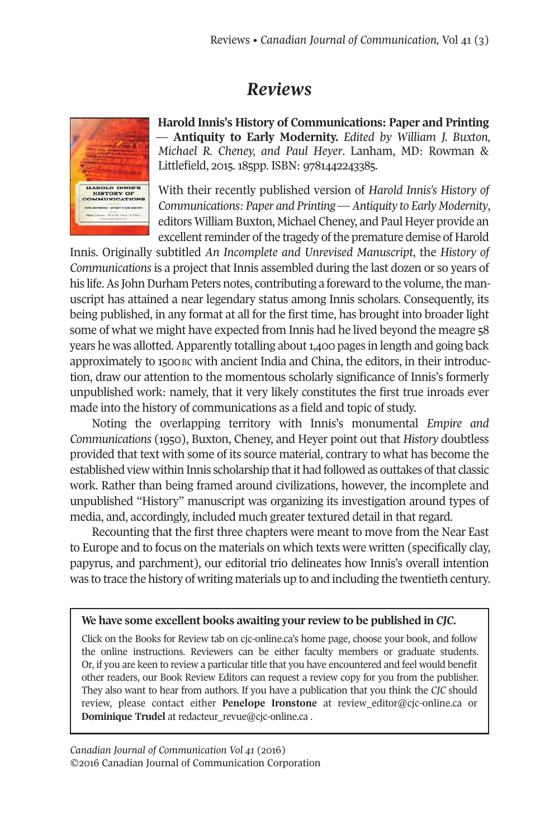## *Reviews*



**Harold Innis's History of Communications: Paper and Printing — Antiquity to Early Modernity.** *Edited by William J. Buxton, Michael R. Cheney, and Paul Heyer*. Lanham, MD: Rowman & Littlefield, 2015. 185pp. ISBN: 9781442243385.

With their recently published version of *Harold Innis's History of Communications: Paper and Printing — Antiquity to Early Modernity*, editors William Buxton, Michael Cheney, and Paul Heyer provide an excellent reminder of the tragedy of the premature demise of Harold

Innis. Originally subtitled *An Incomplete and Unrevised Manuscript*, the *History of Communications* is a project that Innis assembled during the last dozen or so years of his life. As John Durham Peters notes, contributing a foreward to the volume, the manuscript has attained a near legendary status among Innis scholars. Consequently, its being published, in any format at all for the first time, has brought into broader light some of what we might have expected from Innis had he lived beyond the meagre 58 years he was allotted. Apparently totalling about 1,400 pages in length and going back approximately to 1500BC with ancient India and China, the editors, in their introduction, draw our attention to the momentous scholarly significance of Innis's formerly unpublished work: namely, that it very likely constitutes the first true inroads ever made into the history of communications as a field and topic of study.

Noting the overlapping territory with Innis's monumental *Empire and Communications* (1950), Buxton, Cheney, and Heyer point out that *History* doubtless provided that text with some of its source material, contrary to what has become the established view within Innis scholarship that it had followed as outtakes of that classic work. Rather than being framed around civilizations, however, the incomplete and unpublished "History" manuscript was organizing its investigation around types of media, and, accordingly, included much greater textured detail in that regard.

Recounting that the first three chapters were meant to move from the Near East to Europe and to focus on the materials on which texts were written (specifically clay, papyrus, and parchment), our editorial trio delineates how Innis's overall intention was to trace the history of writing materials up to and including the twentieth century.

## **We have some excellent books awaiting your review to be published in** *CJC.*

Click on the Books for Review tab on cjc-online.ca's home page, choose your book, and follow the online instructions. Reviewers can be either faculty members or graduate students. Or, if you are keen to review a particular title that you have encountered and feel would benefit other readers, our Book Review Editors can request a review copy for you from the publisher. They also want to hear from authors. If you have a publication that you think the *CJC* should review, please contact either **Penelope Ironstone** at [review\\_editor@cjc-online.ca](mailto:review_editor@cjc-online.ca) or **Dominique Trudel** at [redacteur\\_revue@cjc-online.ca](mailto:redacteur_revue@cjc-online.ca) .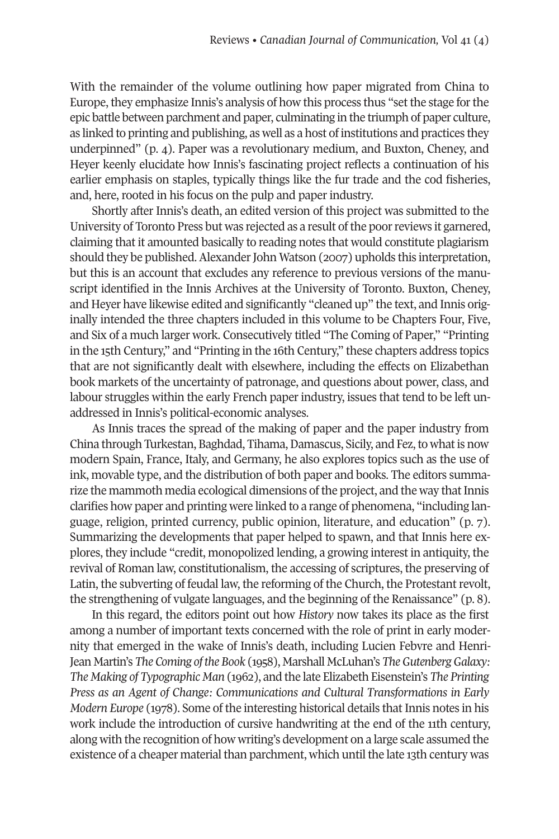With the remainder of the volume outlining how paper migrated from China to Europe, they emphasize Innis's analysis of how this process thus "set the stage for the epic battle between parchment and paper, culminating in the triumph of paper culture, as linked to printing and publishing, as well as a host of institutions and practices they underpinned" (p. 4). Paper was a revolutionary medium, and Buxton, Cheney, and Heyer keenly elucidate how Innis's fascinating project reflects a continuation of his earlier emphasis on staples, typically things like the fur trade and the cod fisheries, and, here, rooted in his focus on the pulp and paper industry.

Shortly after Innis's death, an edited version of this project was submitted to the University of Toronto Press but was rejected as a result of the poor reviews it garnered, claiming that it amounted basically to reading notes that would constitute plagiarism should they be published. Alexander John Watson (2007) upholds this interpretation, but this is an account that excludes any reference to previous versions of the manuscript identified in the Innis Archives at the University of Toronto. Buxton, Cheney, and Heyer have likewise edited and significantly "cleaned up" the text, and Innis originally intended the three chapters included in this volume to be Chapters Four, Five, and Six of a much larger work. Consecutively titled "The Coming of Paper," "Printing in the 15th Century," and "Printing in the 16th Century," these chapters address topics that are not significantly dealt with elsewhere, including the effects on Elizabethan book markets of the uncertainty of patronage, and questions about power, class, and labour struggles within the early French paper industry, issues that tend to be left unaddressed in Innis's political-economic analyses.

As Innis traces the spread of the making of paper and the paper industry from China through Turkestan, Baghdad, Tihama, Damascus, Sicily, and Fez, to what is now modern Spain, France, Italy, and Germany, he also explores topics such as the use of ink, movable type, and the distribution of both paper and books. The editors summarize the mammoth media ecological dimensions of the project, and the way that Innis clarifies how paper and printing were linked to a range of phenomena, "including language, religion, printed currency, public opinion, literature, and education" (p. 7). Summarizing the developments that paper helped to spawn, and that Innis here explores, they include "credit, monopolized lending, a growing interest in antiquity, the revival of Roman law, constitutionalism, the accessing of scriptures, the preserving of Latin, the subverting of feudal law, the reforming of the Church, the Protestant revolt, the strengthening of vulgate languages, and the beginning of the Renaissance" (p. 8).

In this regard, the editors point out how *History* now takes its place as the first among a number of important texts concerned with the role of print in early modernity that emerged in the wake of Innis's death, including Lucien Febvre and Henri-Jean Martin's *The Coming ofthe Book* (1958), Marshall McLuhan's *TheGutenbergGalaxy: The Making of Typographic Man* (1962), and the late Elizabeth Eisenstein's *The Printing Press as an Agent of Change: Communications and Cultural Transformations in Early Modern Europe* (1978). Some of the interesting historical details that Innis notes in his work include the introduction of cursive handwriting at the end of the 11th century, along with the recognition of how writing's development on a large scale assumed the existence of a cheaper material than parchment, which until the late 13th century was